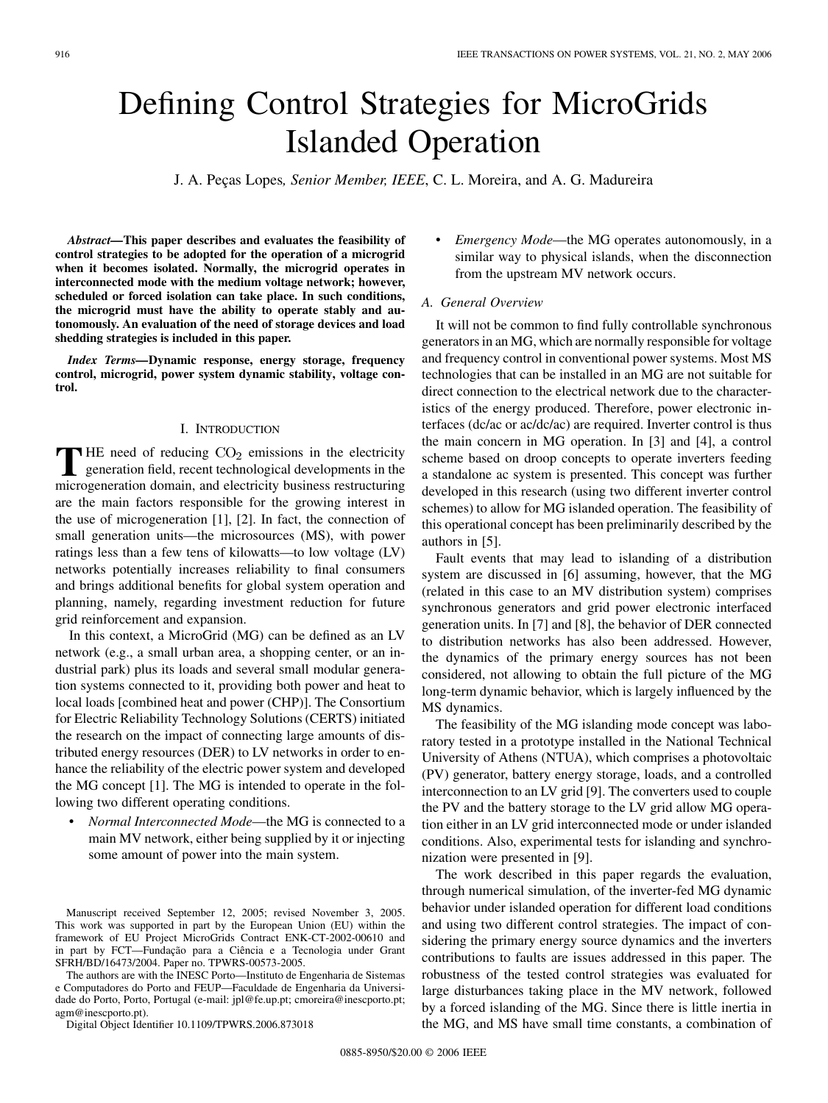# Defining Control Strategies for MicroGrids Islanded Operation

J. A. Peças Lopes*, Senior Member, IEEE*, C. L. Moreira, and A. G. Madureira

*Abstract—***This paper describes and evaluates the feasibility of control strategies to be adopted for the operation of a microgrid when it becomes isolated. Normally, the microgrid operates in interconnected mode with the medium voltage network; however, scheduled or forced isolation can take place. In such conditions, the microgrid must have the ability to operate stably and autonomously. An evaluation of the need of storage devices and load shedding strategies is included in this paper.**

*Index Terms—***Dynamic response, energy storage, frequency control, microgrid, power system dynamic stability, voltage control.**

# I. INTRODUCTION

**T**HE need of reducing  $CO<sub>2</sub>$  emissions in the electricity generation field, recent technological developments in the microgeneration domain, and electricity business restructuring are the main factors responsible for the growing interest in the use of microgeneration [[1\]](#page-7-0), [\[2](#page-7-0)]. In fact, the connection of small generation units—the microsources (MS), with power ratings less than a few tens of kilowatts—to low voltage (LV) networks potentially increases reliability to final consumers and brings additional benefits for global system operation and planning, namely, regarding investment reduction for future grid reinforcement and expansion.

In this context, a MicroGrid (MG) can be defined as an LV network (e.g., a small urban area, a shopping center, or an industrial park) plus its loads and several small modular generation systems connected to it, providing both power and heat to local loads [combined heat and power (CHP)]. The Consortium for Electric Reliability Technology Solutions (CERTS) initiated the research on the impact of connecting large amounts of distributed energy resources (DER) to LV networks in order to enhance the reliability of the electric power system and developed the MG concept [[1\]](#page-7-0). The MG is intended to operate in the following two different operating conditions.

• *Normal Interconnected Mode*—the MG is connected to a main MV network, either being supplied by it or injecting some amount of power into the main system.

The authors are with the INESC Porto—Instituto de Engenharia de Sistemas e Computadores do Porto and FEUP—Faculdade de Engenharia da Universidade do Porto, Porto, Portugal (e-mail: jpl@fe.up.pt; cmoreira@inescporto.pt; agm@inescporto.pt).

Digital Object Identifier 10.1109/TPWRS.2006.873018

• *Emergency Mode*—the MG operates autonomously, in a similar way to physical islands, when the disconnection from the upstream MV network occurs.

## *A. General Overview*

It will not be common to find fully controllable synchronous generators in an MG, which are normally responsible for voltage and frequency control in conventional power systems. Most MS technologies that can be installed in an MG are not suitable for direct connection to the electrical network due to the characteristics of the energy produced. Therefore, power electronic interfaces (dc/ac or ac/dc/ac) are required. Inverter control is thus the main concern in MG operation. In [[3\]](#page-7-0) and [[4](#page-7-0)], a control scheme based on droop concepts to operate inverters feeding a standalone ac system is presented. This concept was further developed in this research (using two different inverter control schemes) to allow for MG islanded operation. The feasibility of this operational concept has been preliminarily described by the authors in [[5\]](#page-7-0).

Fault events that may lead to islanding of a distribution system are discussed in [\[6](#page-7-0)] assuming, however, that the MG (related in this case to an MV distribution system) comprises synchronous generators and grid power electronic interfaced generation units. In [\[7](#page-7-0)] and [[8\]](#page-7-0), the behavior of DER connected to distribution networks has also been addressed. However, the dynamics of the primary energy sources has not been considered, not allowing to obtain the full picture of the MG long-term dynamic behavior, which is largely influenced by the MS dynamics.

The feasibility of the MG islanding mode concept was laboratory tested in a prototype installed in the National Technical University of Athens (NTUA), which comprises a photovoltaic (PV) generator, battery energy storage, loads, and a controlled interconnection to an LV grid [[9\]](#page-8-0). The converters used to couple the PV and the battery storage to the LV grid allow MG operation either in an LV grid interconnected mode or under islanded conditions. Also, experimental tests for islanding and synchronization were presented in [[9\]](#page-8-0).

The work described in this paper regards the evaluation, through numerical simulation, of the inverter-fed MG dynamic behavior under islanded operation for different load conditions and using two different control strategies. The impact of considering the primary energy source dynamics and the inverters contributions to faults are issues addressed in this paper. The robustness of the tested control strategies was evaluated for large disturbances taking place in the MV network, followed by a forced islanding of the MG. Since there is little inertia in the MG, and MS have small time constants, a combination of

Manuscript received September 12, 2005; revised November 3, 2005. This work was supported in part by the European Union (EU) within the framework of EU Project MicroGrids Contract ENK-CT-2002-00610 and in part by FCT—Fundação para a Ciência e a Tecnologia under Grant SFRH/BD/16473/2004. Paper no. TPWRS-00573-2005.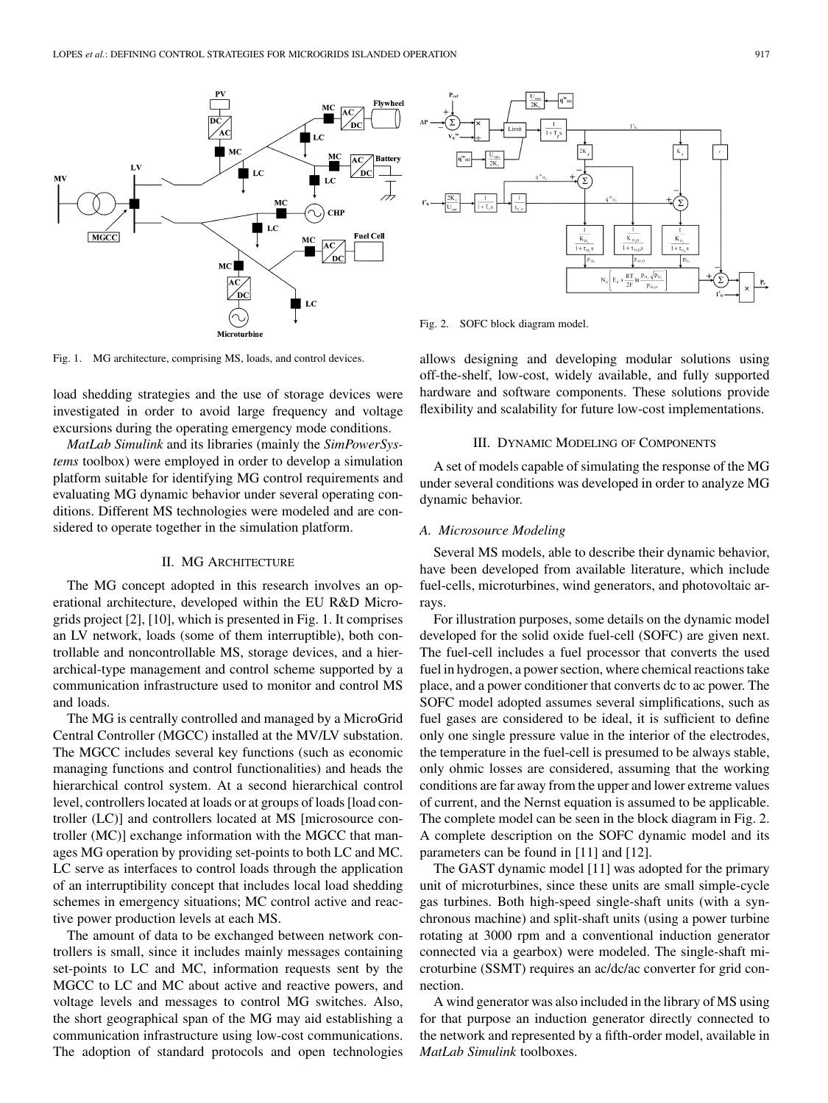

Fig. 1. MG architecture, comprising MS, loads, and control devices.

load shedding strategies and the use of storage devices were investigated in order to avoid large frequency and voltage excursions during the operating emergency mode conditions.

*MatLab Simulink* and its libraries (mainly the *SimPowerSystems* toolbox) were employed in order to develop a simulation platform suitable for identifying MG control requirements and evaluating MG dynamic behavior under several operating conditions. Different MS technologies were modeled and are considered to operate together in the simulation platform.

# II. MG ARCHITECTURE

The MG concept adopted in this research involves an operational architecture, developed within the EU R&D Microgrids project [\[2](#page-7-0)], [[10\]](#page-8-0), which is presented in Fig. 1. It comprises an LV network, loads (some of them interruptible), both controllable and noncontrollable MS, storage devices, and a hierarchical-type management and control scheme supported by a communication infrastructure used to monitor and control MS and loads.

The MG is centrally controlled and managed by a MicroGrid Central Controller (MGCC) installed at the MV/LV substation. The MGCC includes several key functions (such as economic managing functions and control functionalities) and heads the hierarchical control system. At a second hierarchical control level, controllers located at loads or at groups of loads [load controller (LC)] and controllers located at MS [microsource controller (MC)] exchange information with the MGCC that manages MG operation by providing set-points to both LC and MC. LC serve as interfaces to control loads through the application of an interruptibility concept that includes local load shedding schemes in emergency situations; MC control active and reactive power production levels at each MS.

The amount of data to be exchanged between network controllers is small, since it includes mainly messages containing set-points to LC and MC, information requests sent by the MGCC to LC and MC about active and reactive powers, and voltage levels and messages to control MG switches. Also, the short geographical span of the MG may aid establishing a communication infrastructure using low-cost communications. The adoption of standard protocols and open technologies



Fig. 2. SOFC block diagram model.

allows designing and developing modular solutions using off-the-shelf, low-cost, widely available, and fully supported hardware and software components. These solutions provide flexibility and scalability for future low-cost implementations.

# III. DYNAMIC MODELING OF COMPONENTS

A set of models capable of simulating the response of the MG under several conditions was developed in order to analyze MG dynamic behavior.

## *A. Microsource Modeling*

Several MS models, able to describe their dynamic behavior, have been developed from available literature, which include fuel-cells, microturbines, wind generators, and photovoltaic arrays.

For illustration purposes, some details on the dynamic model developed for the solid oxide fuel-cell (SOFC) are given next. The fuel-cell includes a fuel processor that converts the used fuel in hydrogen, a power section, where chemical reactions take place, and a power conditioner that converts dc to ac power. The SOFC model adopted assumes several simplifications, such as fuel gases are considered to be ideal, it is sufficient to define only one single pressure value in the interior of the electrodes, the temperature in the fuel-cell is presumed to be always stable, only ohmic losses are considered, assuming that the working conditions are far away from the upper and lower extreme values of current, and the Nernst equation is assumed to be applicable. The complete model can be seen in the block diagram in Fig. 2. A complete description on the SOFC dynamic model and its parameters can be found in [[11\]](#page-8-0) and [\[12](#page-8-0)].

The GAST dynamic model [[11\]](#page-8-0) was adopted for the primary unit of microturbines, since these units are small simple-cycle gas turbines. Both high-speed single-shaft units (with a synchronous machine) and split-shaft units (using a power turbine rotating at 3000 rpm and a conventional induction generator connected via a gearbox) were modeled. The single-shaft microturbine (SSMT) requires an ac/dc/ac converter for grid connection.

A wind generator was also included in the library of MS using for that purpose an induction generator directly connected to the network and represented by a fifth-order model, available in *MatLab Simulink* toolboxes.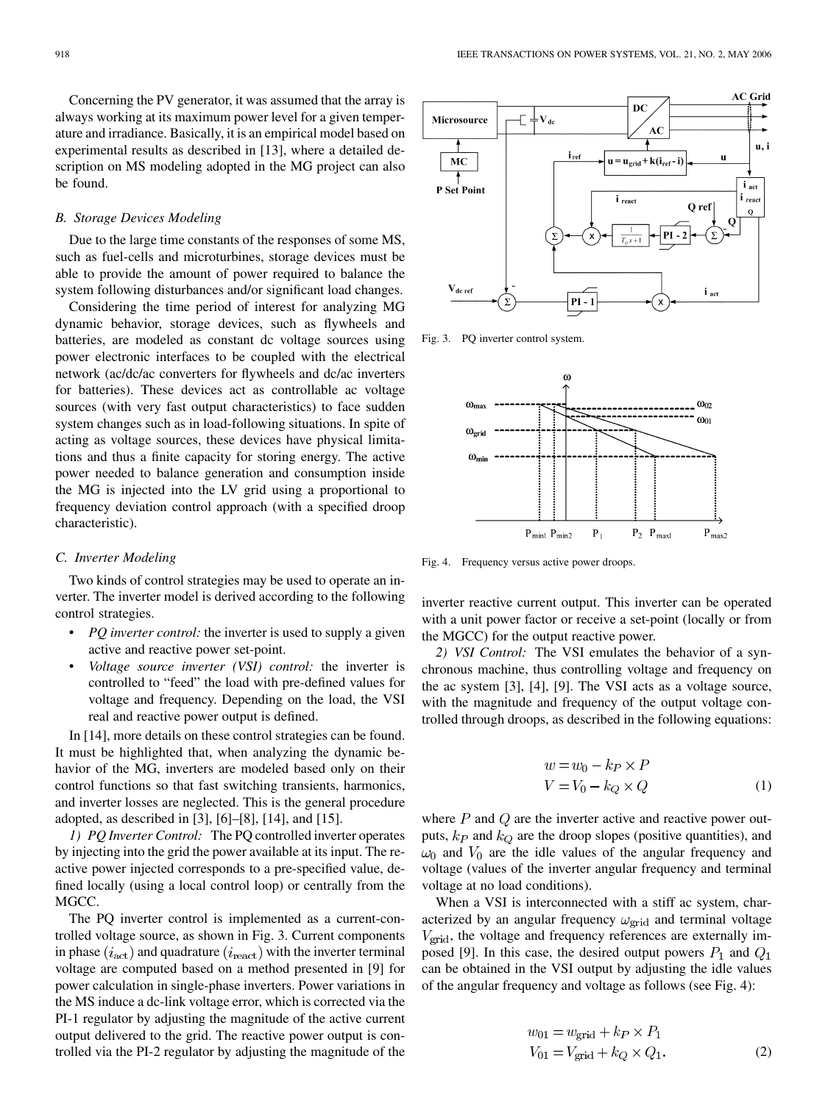Concerning the PV generator, it was assumed that the array is always working at its maximum power level for a given temperature and irradiance. Basically, it is an empirical model based on experimental results as described in [[13\]](#page-8-0), where a detailed description on MS modeling adopted in the MG project can also be found.

#### *B. Storage Devices Modeling*

Due to the large time constants of the responses of some MS, such as fuel-cells and microturbines, storage devices must be able to provide the amount of power required to balance the system following disturbances and/or significant load changes.

Considering the time period of interest for analyzing MG dynamic behavior, storage devices, such as flywheels and batteries, are modeled as constant dc voltage sources using power electronic interfaces to be coupled with the electrical network (ac/dc/ac converters for flywheels and dc/ac inverters for batteries). These devices act as controllable ac voltage sources (with very fast output characteristics) to face sudden system changes such as in load-following situations. In spite of acting as voltage sources, these devices have physical limitations and thus a finite capacity for storing energy. The active power needed to balance generation and consumption inside the MG is injected into the LV grid using a proportional to frequency deviation control approach (with a specified droop characteristic).

# *C. Inverter Modeling*

Two kinds of control strategies may be used to operate an inverter. The inverter model is derived according to the following control strategies.

- *PQ inverter control:* the inverter is used to supply a given active and reactive power set-point.
- *Voltage source inverter (VSI) control:* the inverter is controlled to "feed" the load with pre-defined values for voltage and frequency. Depending on the load, the VSI real and reactive power output is defined.

In [\[14](#page-8-0)], more details on these control strategies can be found. It must be highlighted that, when analyzing the dynamic behavior of the MG, inverters are modeled based only on their control functions so that fast switching transients, harmonics, and inverter losses are neglected. This is the general procedure adopted, as described in [[3\]](#page-7-0), [\[6](#page-7-0)]–[[8\]](#page-7-0), [[14\]](#page-8-0), and [\[15](#page-8-0)].

*1) PQ Inverter Control:* The PQ controlled inverter operates by injecting into the grid the power available at its input. The reactive power injected corresponds to a pre-specified value, defined locally (using a local control loop) or centrally from the MGCC.

The PQ inverter control is implemented as a current-controlled voltage source, as shown in Fig. 3. Current components in phase  $(i<sub>act</sub>)$  and quadrature  $(i<sub>react</sub>)$  with the inverter terminal voltage are computed based on a method presented in [\[9](#page-8-0)] for power calculation in single-phase inverters. Power variations in the MS induce a dc-link voltage error, which is corrected via the PI-1 regulator by adjusting the magnitude of the active current output delivered to the grid. The reactive power output is controlled via the PI-2 regulator by adjusting the magnitude of the



Fig. 3. PQ inverter control system.



Fig. 4. Frequency versus active power droops.

inverter reactive current output. This inverter can be operated with a unit power factor or receive a set-point (locally or from the MGCC) for the output reactive power.

*2) VSI Control:* The VSI emulates the behavior of a synchronous machine, thus controlling voltage and frequency on the ac system [\[3](#page-7-0)], [[4\]](#page-7-0), [[9\]](#page-8-0). The VSI acts as a voltage source, with the magnitude and frequency of the output voltage controlled through droops, as described in the following equations:

$$
w = w_0 - k_P \times P
$$
  
\n
$$
V = V_0 - k_Q \times Q
$$
 (1)

where  $P$  and  $Q$  are the inverter active and reactive power outputs,  $k_P$  and  $k_Q$  are the droop slopes (positive quantities), and  $\omega_0$  and  $V_0$  are the idle values of the angular frequency and voltage (values of the inverter angular frequency and terminal voltage at no load conditions).

When a VSI is interconnected with a stiff ac system, characterized by an angular frequency  $\omega_{\text{grid}}$  and terminal voltage  $V_{\text{grid}}$ , the voltage and frequency references are externally im-posed [[9\]](#page-8-0). In this case, the desired output powers  $P_1$  and  $Q_1$ can be obtained in the VSI output by adjusting the idle values of the angular frequency and voltage as follows (see Fig. 4):

$$
w_{01} = w_{\text{grid}} + k_P \times P_1
$$
  
\n
$$
V_{01} = V_{\text{grid}} + k_Q \times Q_1.
$$
 (2)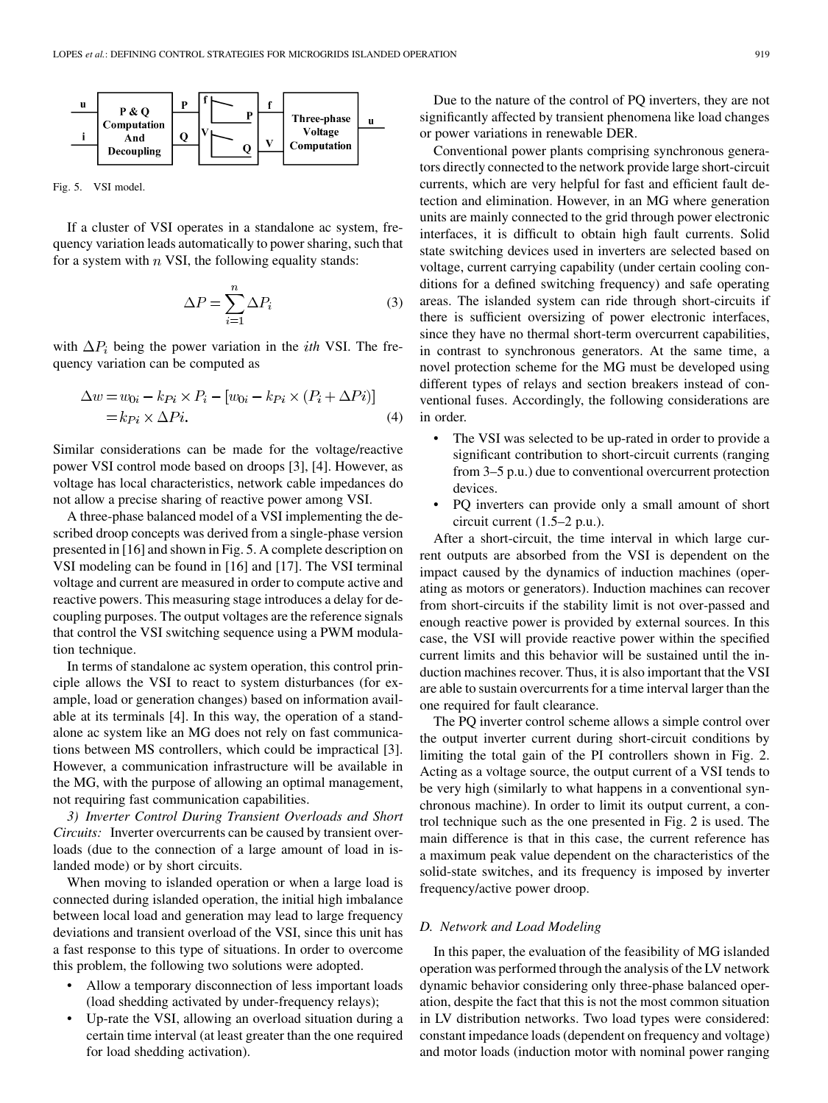

Fig. 5. VSI model.

If a cluster of VSI operates in a standalone ac system, frequency variation leads automatically to power sharing, such that for a system with  $n$  VSI, the following equality stands:

$$
\Delta P = \sum_{i=1}^{n} \Delta P_i \tag{3}
$$

with  $\Delta P_i$  being the power variation in the *ith* VSI. The frequency variation can be computed as

$$
\Delta w = w_{0i} - k_{Pi} \times P_i - [w_{0i} - k_{Pi} \times (P_i + \Delta P_i)]
$$
  
=  $k_{Pi} \times \Delta P_i$ . (4)

Similar considerations can be made for the voltage/reactive power VSI control mode based on droops [\[3](#page-7-0)], [[4\]](#page-7-0). However, as voltage has local characteristics, network cable impedances do not allow a precise sharing of reactive power among VSI.

A three-phase balanced model of a VSI implementing the described droop concepts was derived from a single-phase version presented in [[16\]](#page-8-0) and shown in Fig. 5. A complete description on VSI modeling can be found in [[16\]](#page-8-0) and [[17\]](#page-8-0). The VSI terminal voltage and current are measured in order to compute active and reactive powers. This measuring stage introduces a delay for decoupling purposes. The output voltages are the reference signals that control the VSI switching sequence using a PWM modulation technique.

In terms of standalone ac system operation, this control principle allows the VSI to react to system disturbances (for example, load or generation changes) based on information available at its terminals [[4\]](#page-7-0). In this way, the operation of a standalone ac system like an MG does not rely on fast communications between MS controllers, which could be impractical [\[3](#page-7-0)]. However, a communication infrastructure will be available in the MG, with the purpose of allowing an optimal management, not requiring fast communication capabilities.

*3) Inverter Control During Transient Overloads and Short Circuits:* Inverter overcurrents can be caused by transient overloads (due to the connection of a large amount of load in islanded mode) or by short circuits.

When moving to islanded operation or when a large load is connected during islanded operation, the initial high imbalance between local load and generation may lead to large frequency deviations and transient overload of the VSI, since this unit has a fast response to this type of situations. In order to overcome this problem, the following two solutions were adopted.

- Allow a temporary disconnection of less important loads (load shedding activated by under-frequency relays);
- Up-rate the VSI, allowing an overload situation during a certain time interval (at least greater than the one required for load shedding activation).

Due to the nature of the control of PQ inverters, they are not significantly affected by transient phenomena like load changes or power variations in renewable DER.

Conventional power plants comprising synchronous generators directly connected to the network provide large short-circuit currents, which are very helpful for fast and efficient fault detection and elimination. However, in an MG where generation units are mainly connected to the grid through power electronic interfaces, it is difficult to obtain high fault currents. Solid state switching devices used in inverters are selected based on voltage, current carrying capability (under certain cooling conditions for a defined switching frequency) and safe operating areas. The islanded system can ride through short-circuits if there is sufficient oversizing of power electronic interfaces, since they have no thermal short-term overcurrent capabilities, in contrast to synchronous generators. At the same time, a novel protection scheme for the MG must be developed using different types of relays and section breakers instead of conventional fuses. Accordingly, the following considerations are in order.

- The VSI was selected to be up-rated in order to provide a significant contribution to short-circuit currents (ranging from 3–5 p.u.) due to conventional overcurrent protection devices.
- PQ inverters can provide only a small amount of short circuit current (1.5–2 p.u.).

After a short-circuit, the time interval in which large current outputs are absorbed from the VSI is dependent on the impact caused by the dynamics of induction machines (operating as motors or generators). Induction machines can recover from short-circuits if the stability limit is not over-passed and enough reactive power is provided by external sources. In this case, the VSI will provide reactive power within the specified current limits and this behavior will be sustained until the induction machines recover. Thus, it is also important that the VSI are able to sustain overcurrents for a time interval larger than the one required for fault clearance.

The PQ inverter control scheme allows a simple control over the output inverter current during short-circuit conditions by limiting the total gain of the PI controllers shown in Fig. 2. Acting as a voltage source, the output current of a VSI tends to be very high (similarly to what happens in a conventional synchronous machine). In order to limit its output current, a control technique such as the one presented in Fig. 2 is used. The main difference is that in this case, the current reference has a maximum peak value dependent on the characteristics of the solid-state switches, and its frequency is imposed by inverter frequency/active power droop.

# *D. Network and Load Modeling*

In this paper, the evaluation of the feasibility of MG islanded operation was performed through the analysis of the LV network dynamic behavior considering only three-phase balanced operation, despite the fact that this is not the most common situation in LV distribution networks. Two load types were considered: constant impedance loads (dependent on frequency and voltage) and motor loads (induction motor with nominal power ranging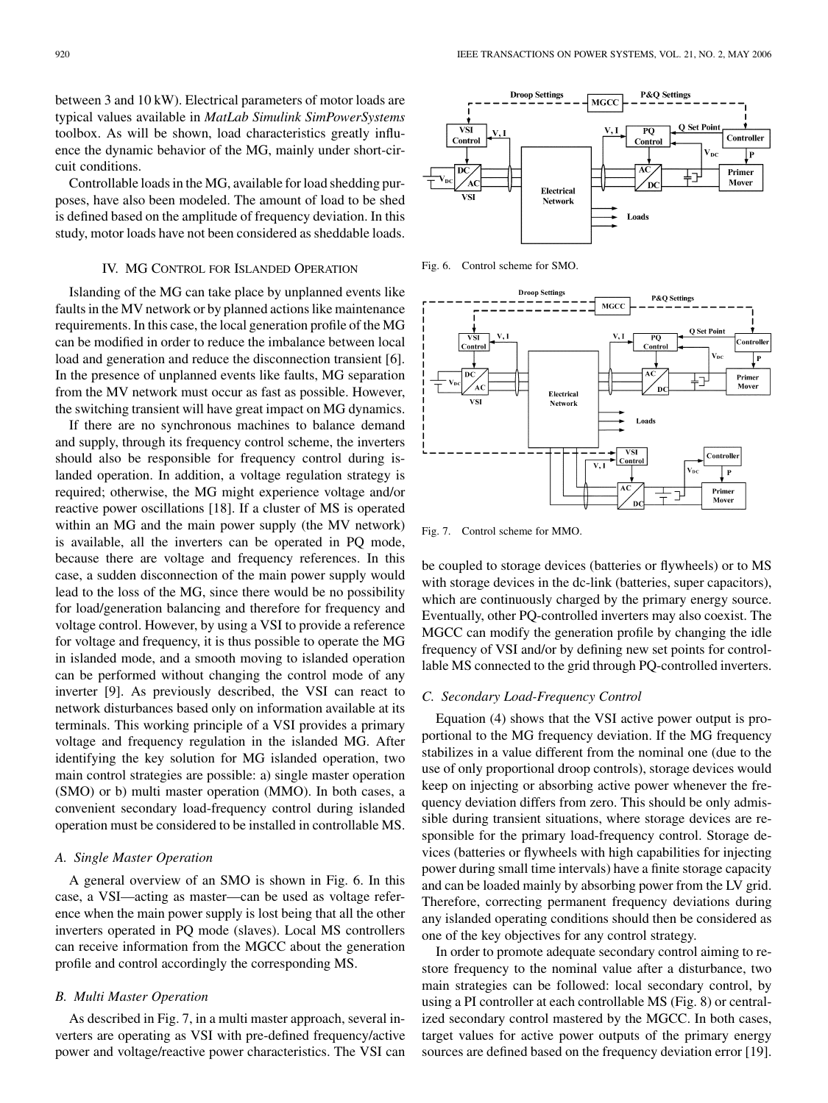between 3 and 10 kW). Electrical parameters of motor loads are typical values available in *MatLab Simulink SimPowerSystems* toolbox. As will be shown, load characteristics greatly influence the dynamic behavior of the MG, mainly under short-circuit conditions.

Controllable loads in the MG, available for load shedding purposes, have also been modeled. The amount of load to be shed is defined based on the amplitude of frequency deviation. In this study, motor loads have not been considered as sheddable loads.

# IV. MG CONTROL FOR ISLANDED OPERATION

Islanding of the MG can take place by unplanned events like faults in the MV network or by planned actions like maintenance requirements. In this case, the local generation profile of the MG can be modified in order to reduce the imbalance between local load and generation and reduce the disconnection transient [[6\]](#page-7-0). In the presence of unplanned events like faults, MG separation from the MV network must occur as fast as possible. However, the switching transient will have great impact on MG dynamics.

If there are no synchronous machines to balance demand and supply, through its frequency control scheme, the inverters should also be responsible for frequency control during islanded operation. In addition, a voltage regulation strategy is required; otherwise, the MG might experience voltage and/or reactive power oscillations [[18\]](#page-8-0). If a cluster of MS is operated within an MG and the main power supply (the MV network) is available, all the inverters can be operated in PQ mode, because there are voltage and frequency references. In this case, a sudden disconnection of the main power supply would lead to the loss of the MG, since there would be no possibility for load/generation balancing and therefore for frequency and voltage control. However, by using a VSI to provide a reference for voltage and frequency, it is thus possible to operate the MG in islanded mode, and a smooth moving to islanded operation can be performed without changing the control mode of any inverter [\[9](#page-8-0)]. As previously described, the VSI can react to network disturbances based only on information available at its terminals. This working principle of a VSI provides a primary voltage and frequency regulation in the islanded MG. After identifying the key solution for MG islanded operation, two main control strategies are possible: a) single master operation (SMO) or b) multi master operation (MMO). In both cases, a convenient secondary load-frequency control during islanded operation must be considered to be installed in controllable MS.

#### *A. Single Master Operation*

A general overview of an SMO is shown in Fig. 6. In this case, a VSI—acting as master—can be used as voltage reference when the main power supply is lost being that all the other inverters operated in PQ mode (slaves). Local MS controllers can receive information from the MGCC about the generation profile and control accordingly the corresponding MS.

# *B. Multi Master Operation*

As described in Fig. 7, in a multi master approach, several inverters are operating as VSI with pre-defined frequency/active power and voltage/reactive power characteristics. The VSI can

**Droop Settings** P&Q Settings MGCC Q Set Point **VSI**  $\overline{P}$ Controller Control Control Vвс DC AC Primer ╪┵  $\alpha$ Mover Electrical **VSI** Network Loads

Fig. 6. Control scheme for SMO.



Fig. 7. Control scheme for MMO.

be coupled to storage devices (batteries or flywheels) or to MS with storage devices in the dc-link (batteries, super capacitors), which are continuously charged by the primary energy source. Eventually, other PQ-controlled inverters may also coexist. The MGCC can modify the generation profile by changing the idle frequency of VSI and/or by defining new set points for controllable MS connected to the grid through PQ-controlled inverters.

# *C. Secondary Load-Frequency Control*

Equation (4) shows that the VSI active power output is proportional to the MG frequency deviation. If the MG frequency stabilizes in a value different from the nominal one (due to the use of only proportional droop controls), storage devices would keep on injecting or absorbing active power whenever the frequency deviation differs from zero. This should be only admissible during transient situations, where storage devices are responsible for the primary load-frequency control. Storage devices (batteries or flywheels with high capabilities for injecting power during small time intervals) have a finite storage capacity and can be loaded mainly by absorbing power from the LV grid. Therefore, correcting permanent frequency deviations during any islanded operating conditions should then be considered as one of the key objectives for any control strategy.

In order to promote adequate secondary control aiming to restore frequency to the nominal value after a disturbance, two main strategies can be followed: local secondary control, by using a PI controller at each controllable MS (Fig. 8) or centralized secondary control mastered by the MGCC. In both cases, target values for active power outputs of the primary energy sources are defined based on the frequency deviation error [[19\]](#page-8-0).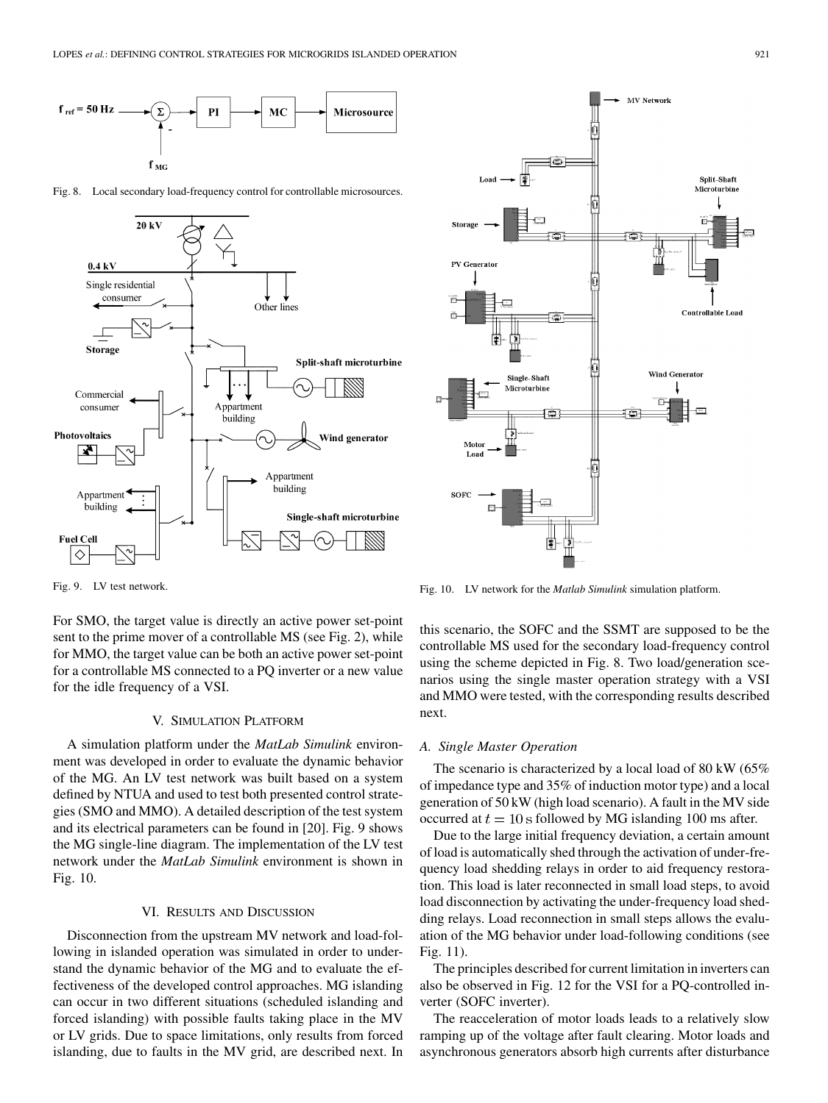







Fig. 9. LV test network.

For SMO, the target value is directly an active power set-point sent to the prime mover of a controllable MS (see Fig. 2), while for MMO, the target value can be both an active power set-point for a controllable MS connected to a PQ inverter or a new value for the idle frequency of a VSI.

# V. SIMULATION PLATFORM

A simulation platform under the *MatLab Simulink* environment was developed in order to evaluate the dynamic behavior of the MG. An LV test network was built based on a system defined by NTUA and used to test both presented control strategies (SMO and MMO). A detailed description of the test system and its electrical parameters can be found in [\[20](#page-8-0)]. Fig. 9 shows the MG single-line diagram. The implementation of the LV test network under the *MatLab Simulink* environment is shown in Fig. 10.

# VI. RESULTS AND DISCUSSION

Disconnection from the upstream MV network and load-following in islanded operation was simulated in order to understand the dynamic behavior of the MG and to evaluate the effectiveness of the developed control approaches. MG islanding can occur in two different situations (scheduled islanding and forced islanding) with possible faults taking place in the MV or LV grids. Due to space limitations, only results from forced islanding, due to faults in the MV grid, are described next. In

this scenario, the SOFC and the SSMT are supposed to be the controllable MS used for the secondary load-frequency control using the scheme depicted in Fig. 8. Two load/generation scenarios using the single master operation strategy with a VSI and MMO were tested, with the corresponding results described next.

# *A. Single Master Operation*

The scenario is characterized by a local load of 80 kW (65% of impedance type and 35% of induction motor type) and a local generation of 50 kW (high load scenario). A fault in the MV side occurred at  $t = 10$  s followed by MG islanding 100 ms after.

Due to the large initial frequency deviation, a certain amount of load is automatically shed through the activation of under-frequency load shedding relays in order to aid frequency restoration. This load is later reconnected in small load steps, to avoid load disconnection by activating the under-frequency load shedding relays. Load reconnection in small steps allows the evaluation of the MG behavior under load-following conditions (see Fig. 11).

The principles described for current limitation in inverters can also be observed in Fig. 12 for the VSI for a PQ-controlled inverter (SOFC inverter).

The reacceleration of motor loads leads to a relatively slow ramping up of the voltage after fault clearing. Motor loads and asynchronous generators absorb high currents after disturbance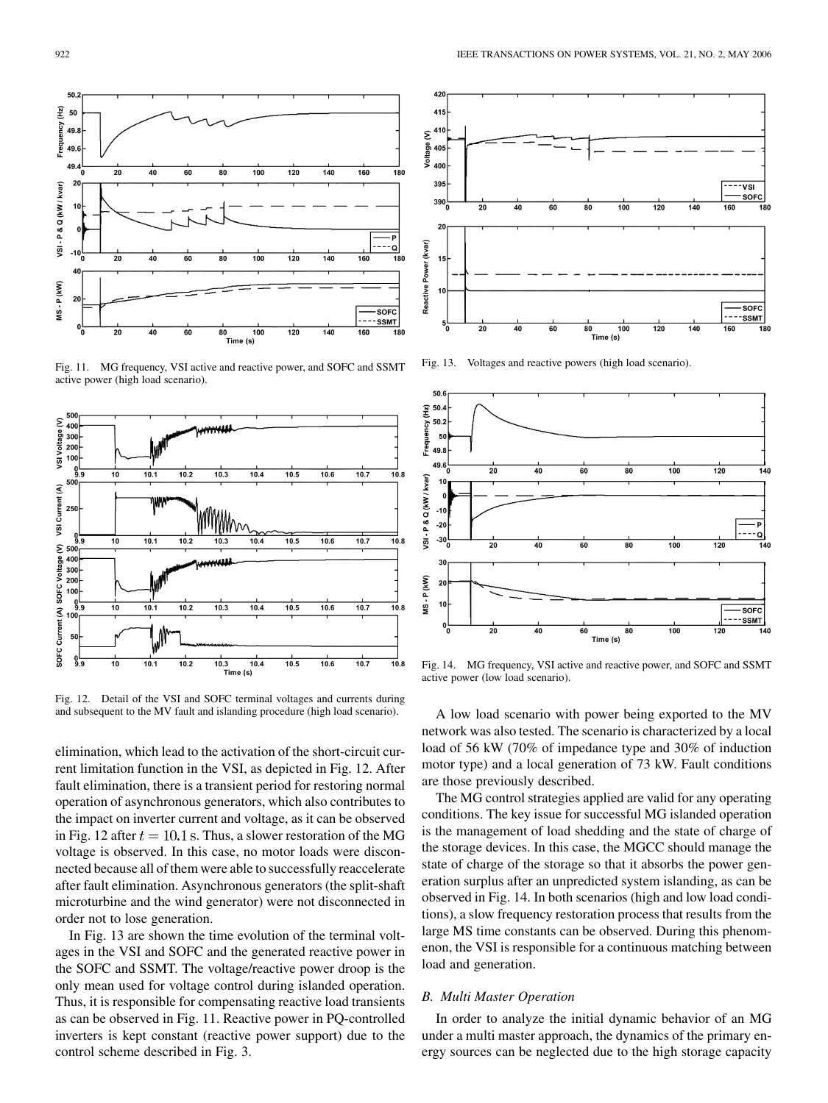

Fig. 11. MG frequency, VSI active and reactive power, and SOFC and SSMT active power (high load scenario).



Fig. 12. Detail of the VSI and SOFC terminal voltages and currents during and subsequent to the MV fault and islanding procedure (high load scenario).

elimination, which lead to the activation of the short-circuit current limitation function in the VSI, as depicted in Fig. 12. After fault elimination, there is a transient period for restoring normal operation of asynchronous generators, which also contributes to the impact on inverter current and voltage, as it can be observed in Fig. 12 after  $t = 10.1$  s. Thus, a slower restoration of the MG voltage is observed. In this case, no motor loads were disconnected because all of them were able to successfully reaccelerate after fault elimination. Asynchronous generators (the split-shaft microturbine and the wind generator) were not disconnected in order not to lose generation.

In Fig. 13 are shown the time evolution of the terminal voltages in the VSI and SOFC and the generated reactive power in the SOFC and SSMT. The voltage/reactive power droop is the only mean used for voltage control during islanded operation. Thus, it is responsible for compensating reactive load transients as can be observed in Fig. 11. Reactive power in PQ-controlled inverters is kept constant (reactive power support) due to the control scheme described in Fig. 3.



Fig. 13. Voltages and reactive powers (high load scenario).



Fig. 14. MG frequency, VSI active and reactive power, and SOFC and SSMT active power (low load scenario).

A low load scenario with power being exported to the MV network was also tested. The scenario is characterized by a local load of 56 kW (70% of impedance type and 30% of induction motor type) and a local generation of 73 kW. Fault conditions are those previously described.

The MG control strategies applied are valid for any operating conditions. The key issue for successful MG islanded operation is the management of load shedding and the state of charge of the storage devices. In this case, the MGCC should manage the state of charge of the storage so that it absorbs the power generation surplus after an unpredicted system islanding, as can be observed in Fig. 14. In both scenarios (high and low load conditions), a slow frequency restoration process that results from the large MS time constants can be observed. During this phenomenon, the VSI is responsible for a continuous matching between load and generation.

# *B. Multi Master Operation*

In order to analyze the initial dynamic behavior of an MG under a multi master approach, the dynamics of the primary energy sources can be neglected due to the high storage capacity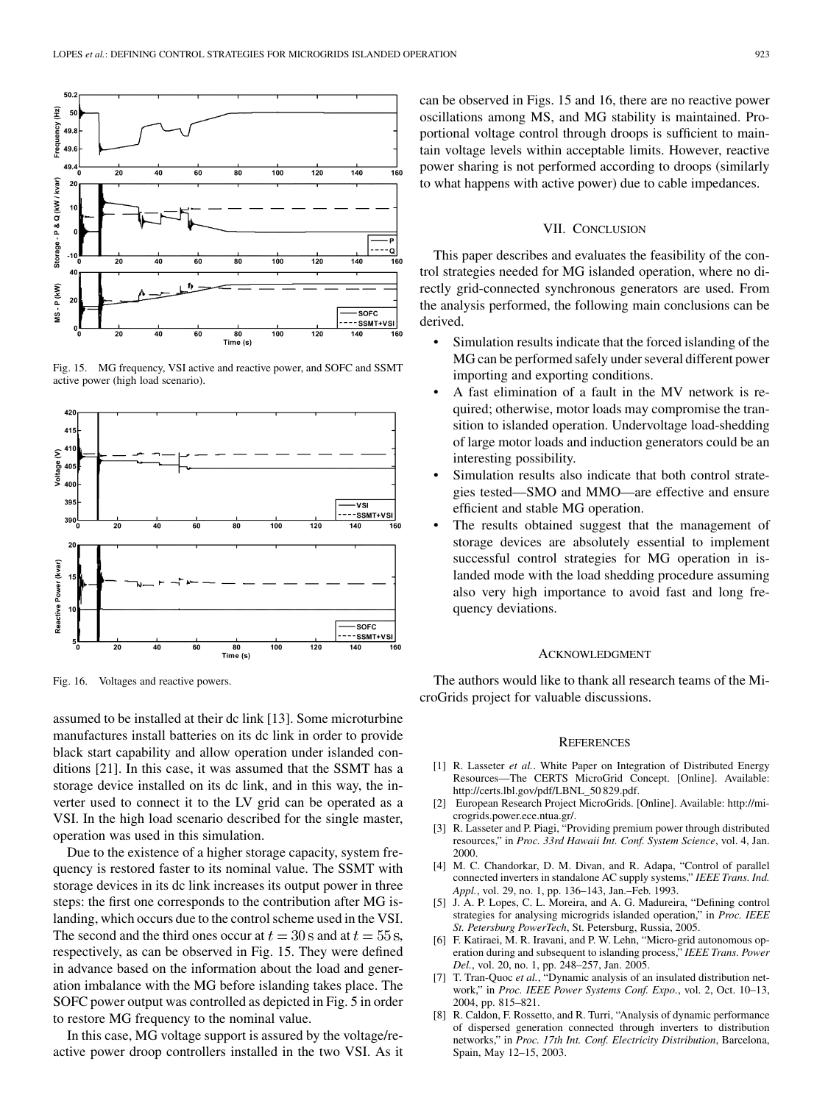<span id="page-7-0"></span>

Fig. 15. MG frequency, VSI active and reactive power, and SOFC and SSMT active power (high load scenario).



Fig. 16. Voltages and reactive powers.

assumed to be installed at their dc link [[13\]](#page-8-0). Some microturbine manufactures install batteries on its dc link in order to provide black start capability and allow operation under islanded conditions [[21\]](#page-8-0). In this case, it was assumed that the SSMT has a storage device installed on its dc link, and in this way, the inverter used to connect it to the LV grid can be operated as a VSI. In the high load scenario described for the single master, operation was used in this simulation.

Due to the existence of a higher storage capacity, system frequency is restored faster to its nominal value. The SSMT with storage devices in its dc link increases its output power in three steps: the first one corresponds to the contribution after MG islanding, which occurs due to the control scheme used in the VSI. The second and the third ones occur at  $t = 30$  s and at  $t = 55$  s, respectively, as can be observed in Fig. 15. They were defined in advance based on the information about the load and generation imbalance with the MG before islanding takes place. The SOFC power output was controlled as depicted in Fig. 5 in order to restore MG frequency to the nominal value.

In this case, MG voltage support is assured by the voltage/reactive power droop controllers installed in the two VSI. As it can be observed in Figs. 15 and 16, there are no reactive power oscillations among MS, and MG stability is maintained. Proportional voltage control through droops is sufficient to maintain voltage levels within acceptable limits. However, reactive power sharing is not performed according to droops (similarly to what happens with active power) due to cable impedances.

### VII. CONCLUSION

This paper describes and evaluates the feasibility of the control strategies needed for MG islanded operation, where no directly grid-connected synchronous generators are used. From the analysis performed, the following main conclusions can be derived.

- Simulation results indicate that the forced islanding of the MG can be performed safely under several different power importing and exporting conditions.
- A fast elimination of a fault in the MV network is required; otherwise, motor loads may compromise the transition to islanded operation. Undervoltage load-shedding of large motor loads and induction generators could be an interesting possibility.
- Simulation results also indicate that both control strategies tested—SMO and MMO—are effective and ensure efficient and stable MG operation.
- The results obtained suggest that the management of storage devices are absolutely essential to implement successful control strategies for MG operation in islanded mode with the load shedding procedure assuming also very high importance to avoid fast and long frequency deviations.

#### ACKNOWLEDGMENT

The authors would like to thank all research teams of the MicroGrids project for valuable discussions.

#### **REFERENCES**

- [1] R. Lasseter *et al.*. White Paper on Integration of Distributed Energy Resources—The CERTS MicroGrid Concept. [Online]. Available: http://certs.lbl.gov/pdf/LBNL\_50 829.pdf.
- [2] European Research Project MicroGrids. [Online]. Available: http://microgrids.power.ece.ntua.gr/.
- [3] R. Lasseter and P. Piagi, "Providing premium power through distributed resources," in *Proc. 33rd Hawaii Int. Conf. System Science*, vol. 4, Jan. 2000.
- [4] M. C. Chandorkar, D. M. Divan, and R. Adapa, "Control of parallel connected inverters in standalone AC supply systems," *IEEE Trans. Ind. Appl.*, vol. 29, no. 1, pp. 136–143, Jan.–Feb. 1993.
- [5] J. A. P. Lopes, C. L. Moreira, and A. G. Madureira, "Defining control strategies for analysing microgrids islanded operation," in *Proc. IEEE St. Petersburg PowerTech*, St. Petersburg, Russia, 2005.
- [6] F. Katiraei, M. R. Iravani, and P. W. Lehn, "Micro-grid autonomous operation during and subsequent to islanding process," *IEEE Trans. Power Del.*, vol. 20, no. 1, pp. 248–257, Jan. 2005.
- [7] T. Tran-Quoc *et al.*, "Dynamic analysis of an insulated distribution network," in *Proc. IEEE Power Systems Conf. Expo.*, vol. 2, Oct. 10–13, 2004, pp. 815–821.
- [8] R. Caldon, F. Rossetto, and R. Turri, "Analysis of dynamic performance of dispersed generation connected through inverters to distribution networks," in *Proc. 17th Int. Conf. Electricity Distribution*, Barcelona, Spain, May 12–15, 2003.